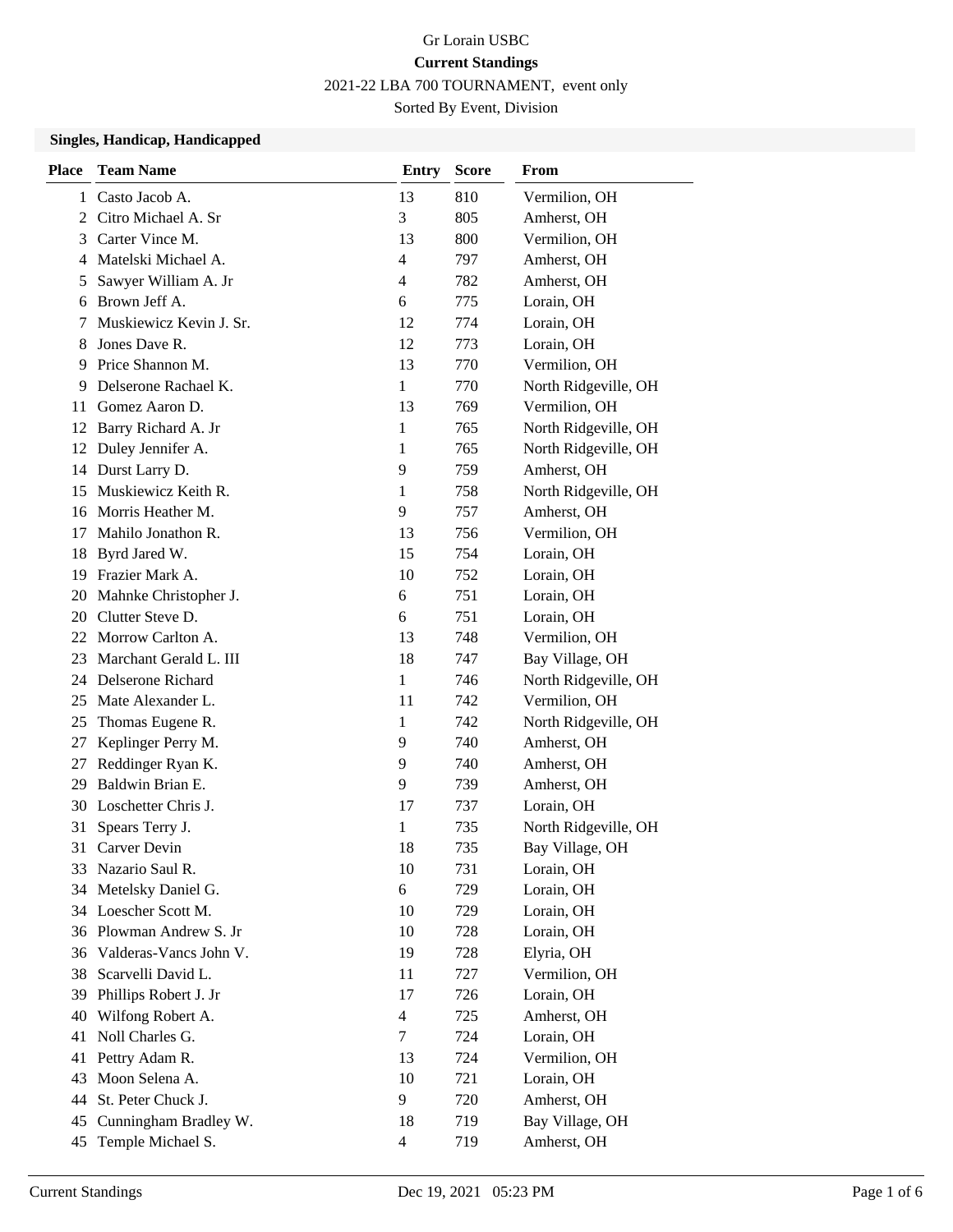### Gr Lorain USBC **Current Standings** 2021-22 LBA 700 TOURNAMENT, event only

Sorted By Event, Division

#### **Singles, Handicap, Handicapped**

| <b>Place</b> | <b>Team Name</b>        | <b>Entry</b>             | <b>Score</b> | From                 |
|--------------|-------------------------|--------------------------|--------------|----------------------|
| 1            | Casto Jacob A.          | 13                       | 810          | Vermilion, OH        |
| 2            | Citro Michael A. Sr     | 3                        | 805          | Amherst, OH          |
| 3            | Carter Vince M.         | 13                       | 800          | Vermilion, OH        |
| 4            | Matelski Michael A.     | 4                        | 797          | Amherst, OH          |
| 5            | Sawyer William A. Jr    | 4                        | 782          | Amherst, OH          |
| 6            | Brown Jeff A.           | 6                        | 775          | Lorain, OH           |
| 7            | Muskiewicz Kevin J. Sr. | 12                       | 774          | Lorain, OH           |
| 8            | Jones Dave R.           | 12                       | 773          | Lorain, OH           |
| 9            | Price Shannon M.        | 13                       | 770          | Vermilion, OH        |
| 9            | Delserone Rachael K.    | $\mathbf{1}$             | 770          | North Ridgeville, OH |
| 11           | Gomez Aaron D.          | 13                       | 769          | Vermilion, OH        |
|              | 12 Barry Richard A. Jr  | 1                        | 765          | North Ridgeville, OH |
| 12           | Duley Jennifer A.       | 1                        | 765          | North Ridgeville, OH |
|              | 14 Durst Larry D.       | 9                        | 759          | Amherst, OH          |
| 15           | Muskiewicz Keith R.     | 1                        | 758          | North Ridgeville, OH |
| 16           | Morris Heather M.       | 9                        | 757          | Amherst, OH          |
| 17           | Mahilo Jonathon R.      | 13                       | 756          | Vermilion, OH        |
| 18           | Byrd Jared W.           | 15                       | 754          | Lorain, OH           |
| 19           | Frazier Mark A.         | 10                       | 752          | Lorain, OH           |
| 20           | Mahnke Christopher J.   | 6                        | 751          | Lorain, OH           |
| 20           | Clutter Steve D.        | 6                        | 751          | Lorain, OH           |
|              | 22 Morrow Carlton A.    | 13                       | 748          | Vermilion, OH        |
| 23           | Marchant Gerald L. III  | 18                       | 747          | Bay Village, OH      |
|              | 24 Delserone Richard    | $\mathbf{1}$             | 746          | North Ridgeville, OH |
| 25           | Mate Alexander L.       | 11                       | 742          | Vermilion, OH        |
| 25           | Thomas Eugene R.        | 1                        | 742          | North Ridgeville, OH |
| 27           | Keplinger Perry M.      | 9                        | 740          | Amherst, OH          |
| 27           | Reddinger Ryan K.       | 9                        | 740          | Amherst, OH          |
| 29           | Baldwin Brian E.        | 9                        | 739          | Amherst, OH          |
| 30           | Loschetter Chris J.     | 17                       | 737          | Lorain, OH           |
| 31           | Spears Terry J.         | 1                        | 735          | North Ridgeville, OH |
| 31           | Carver Devin            | 18                       | 735          | Bay Village, OH      |
| 33           | Nazario Saul R.         | 10                       | 731          | Lorain, OH           |
| 34           | Metelsky Daniel G.      | 6                        | 729          | Lorain, OH           |
|              | 34 Loescher Scott M.    | 10                       | 729          | Lorain, OH           |
|              | 36 Plowman Andrew S. Jr | 10                       | 728          | Lorain, OH           |
| 36           | Valderas-Vancs John V.  | 19                       | 728          | Elyria, OH           |
| 38           | Scarvelli David L.      | 11                       | 727          | Vermilion, OH        |
| 39           | Phillips Robert J. Jr   | 17                       | 726          | Lorain, OH           |
| 40           | Wilfong Robert A.       | $\overline{\mathcal{L}}$ | 725          | Amherst, OH          |
| 41           | Noll Charles G.         | $\tau$                   | 724          | Lorain, OH           |
| 41           | Pettry Adam R.          | 13                       | 724          | Vermilion, OH        |
| 43           | Moon Selena A.          | 10                       | 721          | Lorain, OH           |
| 44           | St. Peter Chuck J.      | 9                        | 720          | Amherst, OH          |
| 45           | Cunningham Bradley W.   | 18                       | 719          | Bay Village, OH      |
| 45           | Temple Michael S.       | 4                        | 719          | Amherst, OH          |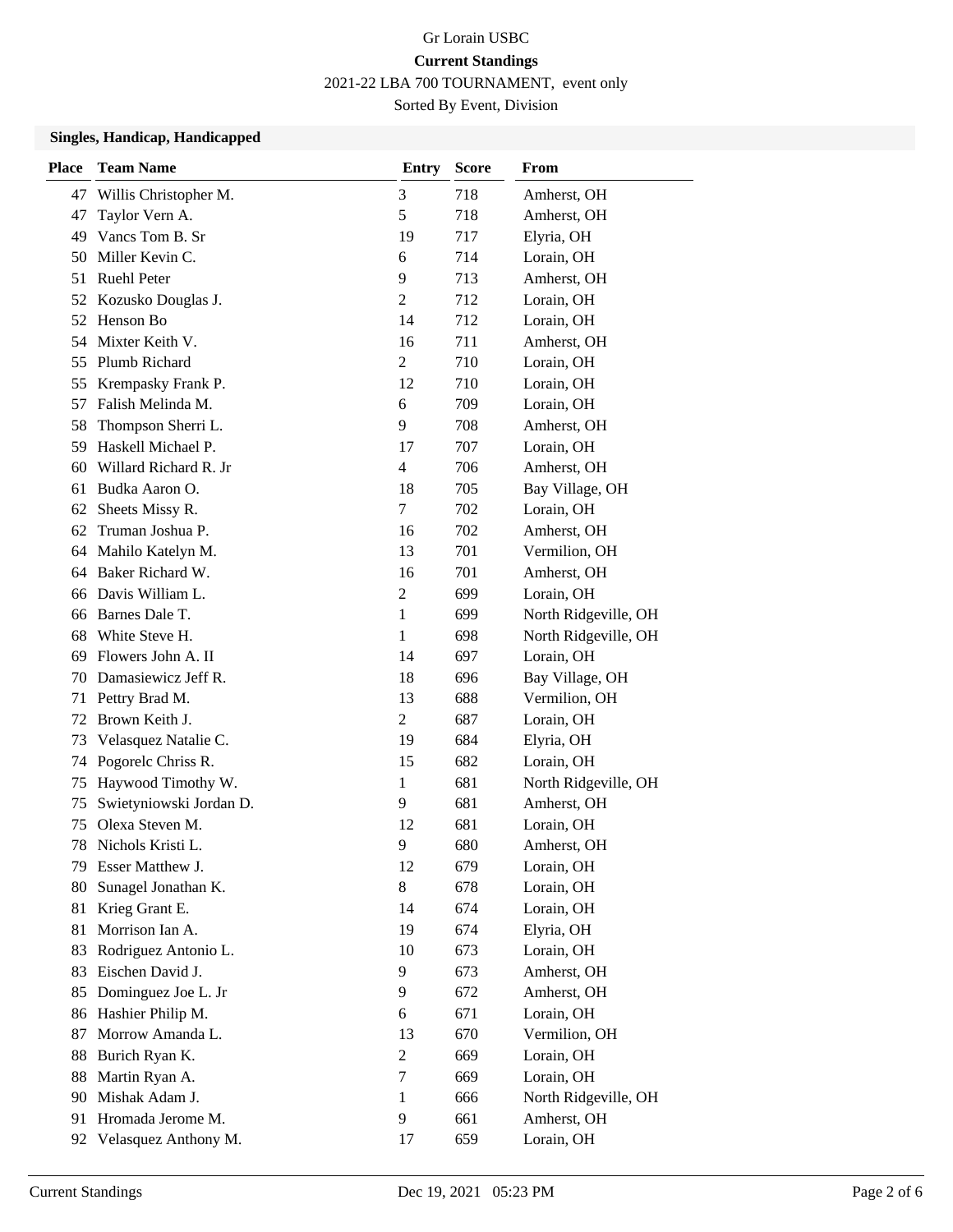2021-22 LBA 700 TOURNAMENT, event only

Sorted By Event, Division

### **Singles, Handicap, Handicapped**

| <b>Place</b> | <b>Team Name</b>        | <b>Entry</b>   | <b>Score</b> | From                 |
|--------------|-------------------------|----------------|--------------|----------------------|
| 47           | Willis Christopher M.   | 3              | 718          | Amherst, OH          |
| 47           | Taylor Vern A.          | 5              | 718          | Amherst, OH          |
| 49           | Vancs Tom B. Sr         | 19             | 717          | Elyria, OH           |
| 50           | Miller Kevin C.         | 6              | 714          | Lorain, OH           |
| 51           | <b>Ruehl Peter</b>      | 9              | 713          | Amherst, OH          |
| 52           | Kozusko Douglas J.      | 2              | 712          | Lorain, OH           |
|              | 52 Henson Bo            | 14             | 712          | Lorain, OH           |
| 54           | Mixter Keith V.         | 16             | 711          | Amherst, OH          |
| 55           | Plumb Richard           | $\overline{c}$ | 710          | Lorain, OH           |
| 55           | Krempasky Frank P.      | 12             | 710          | Lorain, OH           |
| 57           | Falish Melinda M.       | 6              | 709          | Lorain, OH           |
| 58           | Thompson Sherri L.      | 9              | 708          | Amherst, OH          |
| 59           | Haskell Michael P.      | 17             | 707          | Lorain, OH           |
| 60           | Willard Richard R. Jr   | $\overline{4}$ | 706          | Amherst, OH          |
| 61           | Budka Aaron O.          | 18             | 705          | Bay Village, OH      |
| 62           | Sheets Missy R.         | 7              | 702          | Lorain, OH           |
| 62           | Truman Joshua P.        | 16             | 702          | Amherst, OH          |
| 64           | Mahilo Katelyn M.       | 13             | 701          | Vermilion, OH        |
| 64           | Baker Richard W.        | 16             | 701          | Amherst, OH          |
| 66           | Davis William L.        | 2              | 699          | Lorain, OH           |
| 66           | Barnes Dale T.          | 1              | 699          | North Ridgeville, OH |
| 68           | White Steve H.          | 1              | 698          | North Ridgeville, OH |
| 69           | Flowers John A. II      | 14             | 697          | Lorain, OH           |
| 70           | Damasiewicz Jeff R.     | 18             | 696          | Bay Village, OH      |
| 71           | Pettry Brad M.          | 13             | 688          | Vermilion, OH        |
| 72           | Brown Keith J.          | $\overline{2}$ | 687          | Lorain, OH           |
| 73           | Velasquez Natalie C.    | 19             | 684          | Elyria, OH           |
| 74           | Pogorelc Chriss R.      | 15             | 682          | Lorain, OH           |
| 75           | Haywood Timothy W.      | 1              | 681          | North Ridgeville, OH |
| 75           | Swietyniowski Jordan D. | 9              | 681          | Amherst, OH          |
| 75           | Olexa Steven M.         | 12             | 681          | Lorain, OH           |
| 78           | Nichols Kristi L.       | 9              | 680          | Amherst, OH          |
| 79           | Esser Matthew J.        | 12             | 679          | Lorain, OH           |
| 80           | Sunagel Jonathan K.     | 8              | 678          | Lorain, OH           |
| 81           | Krieg Grant E.          | 14             | 674          | Lorain, OH           |
| 81           | Morrison Ian A.         | 19             | 674          | Elyria, OH           |
| 83           | Rodriguez Antonio L.    | 10             | 673          | Lorain, OH           |
| 83           | Eischen David J.        | 9              | 673          | Amherst, OH          |
| 85           | Dominguez Joe L. Jr     | 9              | 672          | Amherst, OH          |
| 86           | Hashier Philip M.       | 6              | 671          | Lorain, OH           |
| 87           | Morrow Amanda L.        | 13             | 670          | Vermilion, OH        |
| 88           | Burich Ryan K.          | $\overline{2}$ | 669          | Lorain, OH           |
| 88           | Martin Ryan A.          | $\tau$         | 669          | Lorain, OH           |
| 90           | Mishak Adam J.          | $\mathbf{1}$   | 666          | North Ridgeville, OH |
| 91           | Hromada Jerome M.       | 9              | 661          | Amherst, OH          |
| 92           | Velasquez Anthony M.    | 17             | 659          | Lorain, OH           |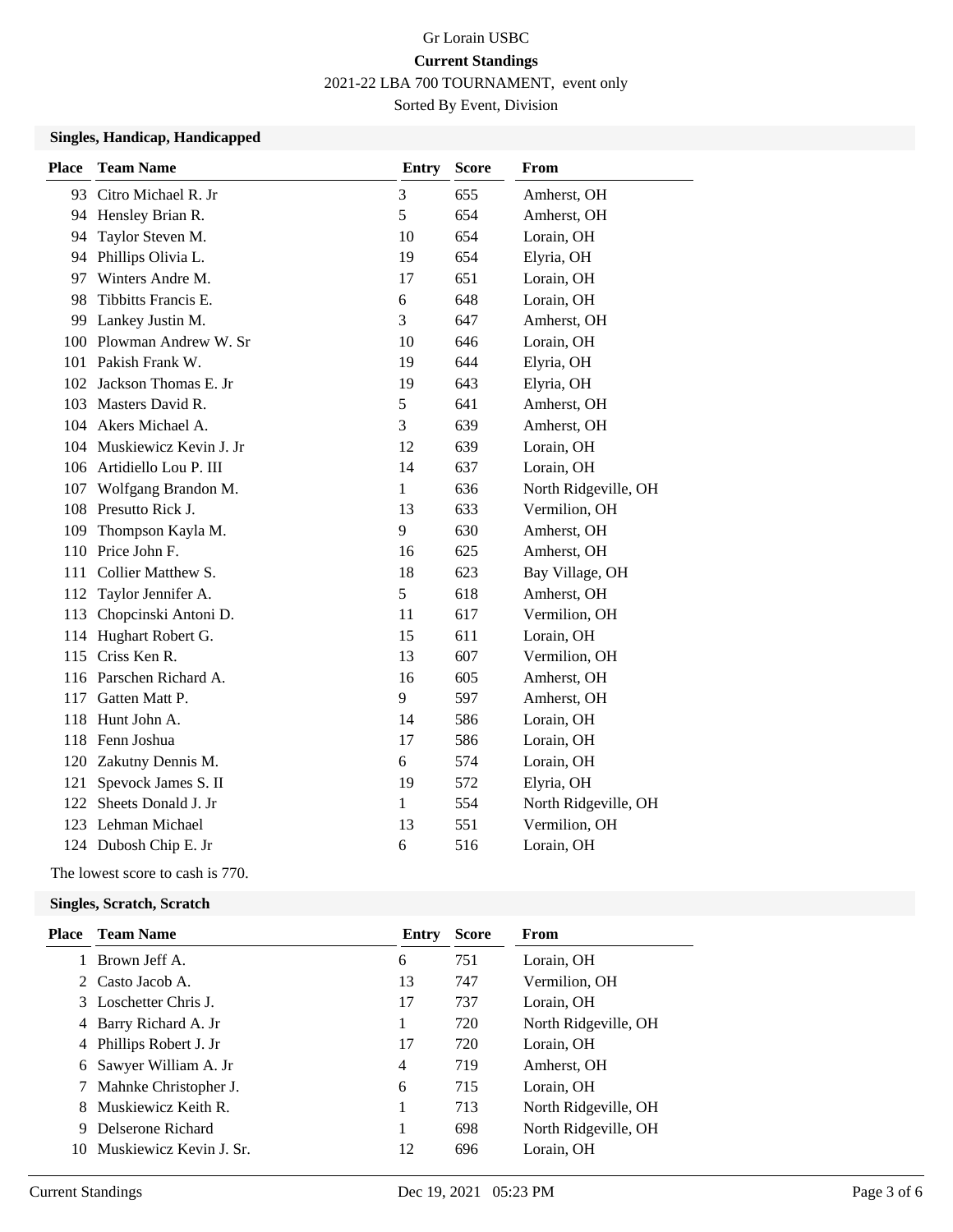2021-22 LBA 700 TOURNAMENT, event only

Sorted By Event, Division

### **Singles, Handicap, Handicapped**

| <b>Place</b> | <b>Team Name</b>           | <b>Entry</b> | <b>Score</b> | From                 |
|--------------|----------------------------|--------------|--------------|----------------------|
| 93           | Citro Michael R. Jr        | 3            | 655          | Amherst, OH          |
| 94           | Hensley Brian R.           | 5            | 654          | Amherst, OH          |
| 94           | Taylor Steven M.           | 10           | 654          | Lorain, OH           |
| 94           | Phillips Olivia L.         | 19           | 654          | Elyria, OH           |
| 97           | Winters Andre M.           | 17           | 651          | Lorain, OH           |
| 98           | Tibbitts Francis E.        | 6            | 648          | Lorain, OH           |
| 99           | Lankey Justin M.           | 3            | 647          | Amherst, OH          |
| 100          | Plowman Andrew W. Sr       | 10           | 646          | Lorain, OH           |
|              | 101 Pakish Frank W.        | 19           | 644          | Elyria, OH           |
| 102          | Jackson Thomas E. Jr       | 19           | 643          | Elyria, OH           |
| 103          | Masters David R.           | 5            | 641          | Amherst, OH          |
|              | 104 Akers Michael A.       | 3            | 639          | Amherst, OH          |
|              | 104 Muskiewicz Kevin J. Jr | 12           | 639          | Lorain, OH           |
| 106          | Artidiello Lou P. III      | 14           | 637          | Lorain, OH           |
| 107          | Wolfgang Brandon M.        | 1            | 636          | North Ridgeville, OH |
| 108          | Presutto Rick J.           | 13           | 633          | Vermilion, OH        |
|              | 109 Thompson Kayla M.      | 9            | 630          | Amherst, OH          |
|              | 110 Price John F.          | 16           | 625          | Amherst, OH          |
| 111          | Collier Matthew S.         | 18           | 623          | Bay Village, OH      |
| 112          | Taylor Jennifer A.         | 5            | 618          | Amherst, OH          |
| 113          | Chopcinski Antoni D.       | 11           | 617          | Vermilion, OH        |
| 114          | Hughart Robert G.          | 15           | 611          | Lorain, OH           |
| 115          | Criss Ken R.               | 13           | 607          | Vermilion, OH        |
|              | 116 Parschen Richard A.    | 16           | 605          | Amherst, OH          |
| 117          | Gatten Matt P.             | 9            | 597          | Amherst, OH          |
| 118          | Hunt John A.               | 14           | 586          | Lorain, OH           |
| 118          | Fenn Joshua                | 17           | 586          | Lorain, OH           |
| 120          | Zakutny Dennis M.          | 6            | 574          | Lorain, OH           |
| 121          | Spevock James S. II        | 19           | 572          | Elyria, OH           |
| 122          | Sheets Donald J. Jr        | 1            | 554          | North Ridgeville, OH |
| 123          | Lehman Michael             | 13           | 551          | Vermilion, OH        |
|              | 124 Dubosh Chip E. Jr      | 6            | 516          | Lorain, OH           |

The lowest score to cash is 770.

#### **Singles, Scratch, Scratch**

| Place | <b>Team Name</b>        | Entry | <b>Score</b> | From                 |
|-------|-------------------------|-------|--------------|----------------------|
|       | 1 Brown Jeff A.         | 6     | 751          | Lorain, OH           |
|       | 2 Casto Jacob A.        | 13    | 747          | Vermilion, OH        |
|       | 3 Loschetter Chris J.   | 17    | 737          | Lorain, OH           |
|       | 4 Barry Richard A. Jr   | 1     | 720          | North Ridgeville, OH |
|       | 4 Phillips Robert J. Jr | 17    | 720          | Lorain, OH           |
|       | 6 Sawyer William A. Jr  | 4     | 719          | Amherst, OH          |
|       | 7 Mahnke Christopher J. | 6     | 715          | Lorain, OH           |
|       | 8 Muskiewicz Keith R.   | 1     | 713          | North Ridgeville, OH |
| 9     | Delserone Richard       | 1     | 698          | North Ridgeville, OH |
| 10    | Muskiewicz Kevin J. Sr. | 12    | 696          | Lorain, OH           |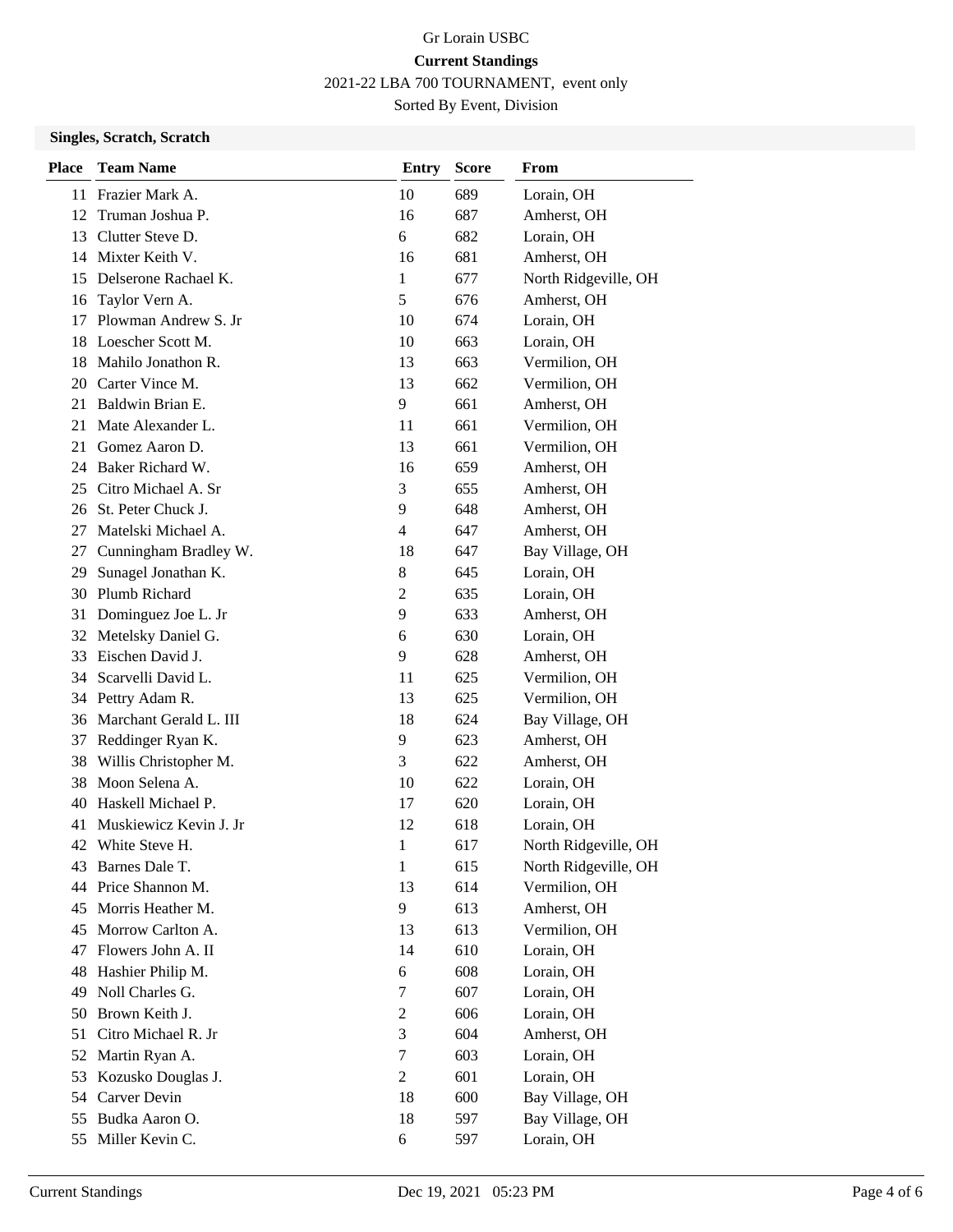2021-22 LBA 700 TOURNAMENT, event only

Sorted By Event, Division

### **Singles, Scratch, Scratch**

| <b>Place</b> | <b>Team Name</b>       | <b>Entry</b>     | <b>Score</b> | From                 |
|--------------|------------------------|------------------|--------------|----------------------|
| 11           | Frazier Mark A.        | 10               | 689          | Lorain, OH           |
| 12           | Truman Joshua P.       | 16               | 687          | Amherst, OH          |
| 13           | Clutter Steve D.       | 6                | 682          | Lorain, OH           |
|              | 14 Mixter Keith V.     | 16               | 681          | Amherst, OH          |
| 15           | Delserone Rachael K.   | 1                | 677          | North Ridgeville, OH |
| 16           | Taylor Vern A.         | 5                | 676          | Amherst, OH          |
| 17           | Plowman Andrew S. Jr   | 10               | 674          | Lorain, OH           |
| 18           | Loescher Scott M.      | 10               | 663          | Lorain, OH           |
| 18           | Mahilo Jonathon R.     | 13               | 663          | Vermilion, OH        |
| 20           | Carter Vince M.        | 13               | 662          | Vermilion, OH        |
| 21           | Baldwin Brian E.       | 9                | 661          | Amherst, OH          |
| 21           | Mate Alexander L.      | 11               | 661          | Vermilion, OH        |
| 21           | Gomez Aaron D.         | 13               | 661          | Vermilion, OH        |
|              | 24 Baker Richard W.    | 16               | 659          | Amherst, OH          |
|              | 25 Citro Michael A. Sr | 3                | 655          | Amherst, OH          |
|              | 26 St. Peter Chuck J.  | 9                | 648          | Amherst, OH          |
| 27           | Matelski Michael A.    | 4                | 647          | Amherst, OH          |
| 27           | Cunningham Bradley W.  | 18               | 647          | Bay Village, OH      |
| 29           | Sunagel Jonathan K.    | 8                | 645          | Lorain, OH           |
| 30           | Plumb Richard          | $\overline{2}$   | 635          | Lorain, OH           |
| 31           | Dominguez Joe L. Jr    | 9                | 633          | Amherst, OH          |
| 32           | Metelsky Daniel G.     | 6                | 630          | Lorain, OH           |
| 33           | Eischen David J.       | $\mathbf{9}$     | 628          | Amherst, OH          |
| 34           | Scarvelli David L.     | 11               | 625          | Vermilion, OH        |
| 34           | Pettry Adam R.         | 13               | 625          | Vermilion, OH        |
| 36           | Marchant Gerald L. III | 18               | 624          | Bay Village, OH      |
| 37           | Reddinger Ryan K.      | 9                | 623          | Amherst, OH          |
| 38           | Willis Christopher M.  | 3                | 622          | Amherst, OH          |
| 38           | Moon Selena A.         | 10               | 622          | Lorain, OH           |
| 40           | Haskell Michael P.     | 17               | 620          | Lorain, OH           |
| 41           | Muskiewicz Kevin J. Jr | 12               | 618          | Lorain, OH           |
|              | 42 White Steve H.      | 1                | 617          | North Ridgeville, OH |
| 43           | Barnes Dale T.         | $\mathbf{1}$     | 615          | North Ridgeville, OH |
|              | 44 Price Shannon M.    | 13               | 614          | Vermilion, OH        |
| 45           | Morris Heather M.      | 9                | 613          | Amherst, OH          |
| 45           | Morrow Carlton A.      | 13               | 613          | Vermilion, OH        |
| 47           | Flowers John A. II     | 14               | 610          | Lorain, OH           |
| 48           | Hashier Philip M.      | 6                | 608          | Lorain, OH           |
| 49           | Noll Charles G.        | 7                | 607          | Lorain, OH           |
| 50           | Brown Keith J.         | $\overline{c}$   | 606          | Lorain, OH           |
| 51           | Citro Michael R. Jr    | 3                | 604          | Amherst, OH          |
| 52           | Martin Ryan A.         | 7                | 603          | Lorain, OH           |
| 53           | Kozusko Douglas J.     | $\boldsymbol{2}$ | 601          | Lorain, OH           |
| 54           | Carver Devin           | 18               | 600          | Bay Village, OH      |
| 55           | Budka Aaron O.         | 18               | 597          | Bay Village, OH      |
| 55           | Miller Kevin C.        | 6                | 597          | Lorain, OH           |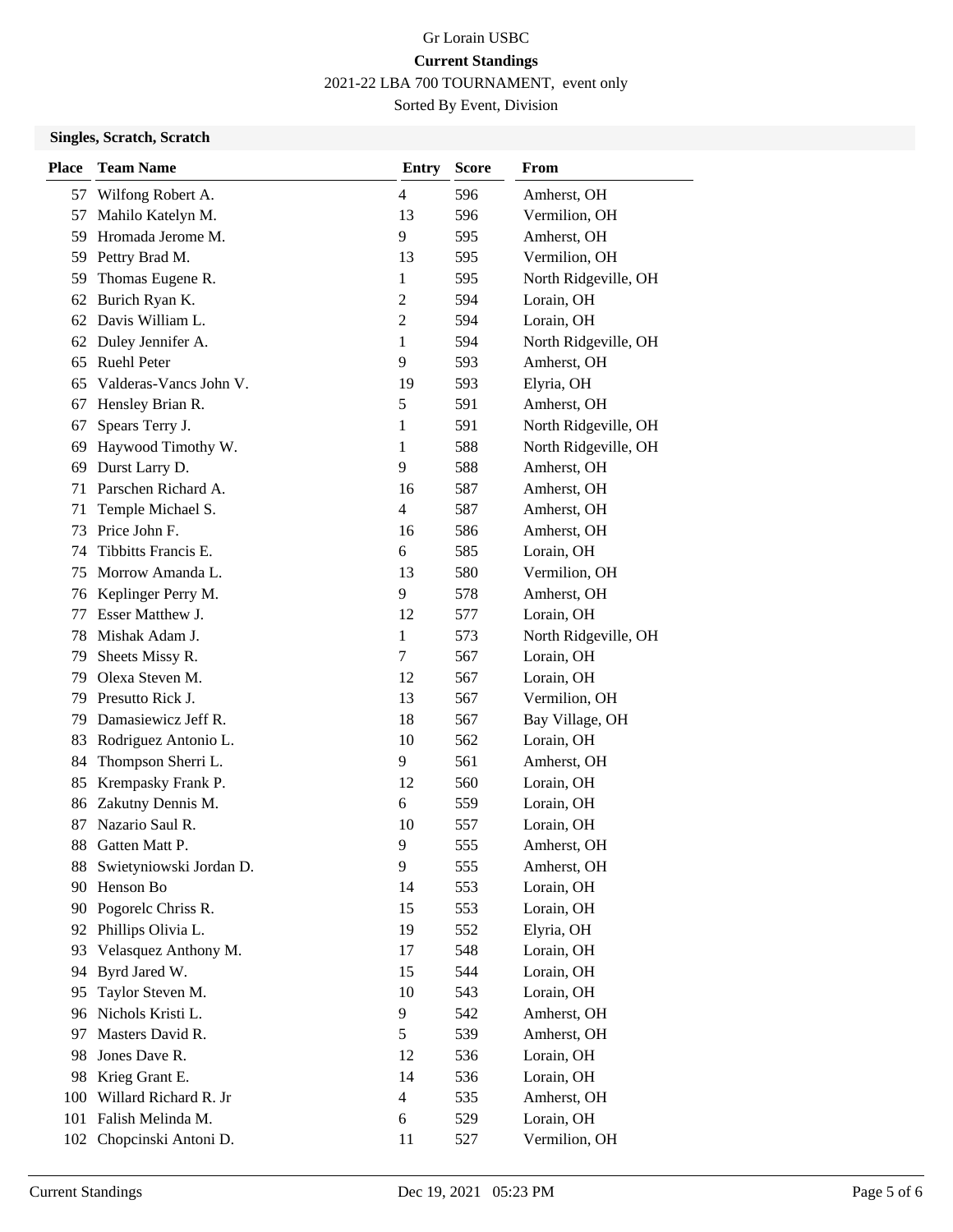2021-22 LBA 700 TOURNAMENT, event only

Sorted By Event, Division

### **Singles, Scratch, Scratch**

| <b>Place</b> | <b>Team Name</b>        | <b>Entry</b>   | <b>Score</b> | From                 |
|--------------|-------------------------|----------------|--------------|----------------------|
| 57           | Wilfong Robert A.       | $\overline{4}$ | 596          | Amherst, OH          |
| 57           | Mahilo Katelyn M.       | 13             | 596          | Vermilion, OH        |
| 59           | Hromada Jerome M.       | 9              | 595          | Amherst, OH          |
| 59           | Pettry Brad M.          | 13             | 595          | Vermilion, OH        |
| 59           | Thomas Eugene R.        | 1              | 595          | North Ridgeville, OH |
| 62           | Burich Ryan K.          | 2              | 594          | Lorain, OH           |
|              | 62 Davis William L.     | $\overline{2}$ | 594          | Lorain, OH           |
|              | 62 Duley Jennifer A.    | 1              | 594          | North Ridgeville, OH |
| 65           | Ruehl Peter             | 9              | 593          | Amherst, OH          |
| 65           | Valderas-Vancs John V.  | 19             | 593          | Elyria, OH           |
| 67           | Hensley Brian R.        | 5              | 591          | Amherst, OH          |
| 67           | Spears Terry J.         | 1              | 591          | North Ridgeville, OH |
| 69           | Haywood Timothy W.      | 1              | 588          | North Ridgeville, OH |
| 69           | Durst Larry D.          | 9              | 588          | Amherst, OH          |
| 71           | Parschen Richard A.     | 16             | 587          | Amherst, OH          |
| 71           | Temple Michael S.       | $\overline{4}$ | 587          | Amherst, OH          |
| 73           | Price John F.           | 16             | 586          | Amherst, OH          |
| 74           | Tibbitts Francis E.     | 6              | 585          | Lorain, OH           |
| 75           | Morrow Amanda L.        | 13             | 580          | Vermilion, OH        |
| 76           | Keplinger Perry M.      | 9              | 578          | Amherst, OH          |
| 77           | Esser Matthew J.        | 12             | 577          | Lorain, OH           |
| 78           | Mishak Adam J.          | 1              | 573          | North Ridgeville, OH |
| 79           | Sheets Missy R.         | 7              | 567          | Lorain, OH           |
| 79           | Olexa Steven M.         | 12             | 567          | Lorain, OH           |
| 79           | Presutto Rick J.        | 13             | 567          | Vermilion, OH        |
| 79           | Damasiewicz Jeff R.     | 18             | 567          | Bay Village, OH      |
| 83           | Rodriguez Antonio L.    | 10             | 562          | Lorain, OH           |
| 84           | Thompson Sherri L.      | 9              | 561          | Amherst, OH          |
| 85           | Krempasky Frank P.      | 12             | 560          | Lorain, OH           |
| 86           | Zakutny Dennis M.       | 6              | 559          | Lorain, OH           |
| 87           | Nazario Saul R.         | 10             | 557          | Lorain, OH           |
| 88           | Gatten Matt P.          | 9              | 555          | Amherst, OH          |
| 88           | Swietyniowski Jordan D. | 9              | 555          | Amherst, OH          |
| 90           | Henson Bo               | 14             | 553          | Lorain, OH           |
| 90           | Pogorelc Chriss R.      | 15             | 553          | Lorain, OH           |
|              | 92 Phillips Olivia L.   | 19             | 552          | Elyria, OH           |
| 93           | Velasquez Anthony M.    | 17             | 548          | Lorain, OH           |
| 94           | Byrd Jared W.           | 15             | 544          | Lorain, OH           |
| 95           | Taylor Steven M.        | 10             | 543          | Lorain, OH           |
| 96           | Nichols Kristi L.       | 9              | 542          | Amherst, OH          |
| 97           | Masters David R.        | 5              | 539          | Amherst, OH          |
| 98           | Jones Dave R.           | 12             | 536          | Lorain, OH           |
| 98           | Krieg Grant E.          | 14             | 536          | Lorain, OH           |
| 100          | Willard Richard R. Jr   | $\overline{4}$ | 535          | Amherst, OH          |
| 101          | Falish Melinda M.       | 6              | 529          | Lorain, OH           |
| 102          | Chopcinski Antoni D.    | 11             | 527          | Vermilion, OH        |